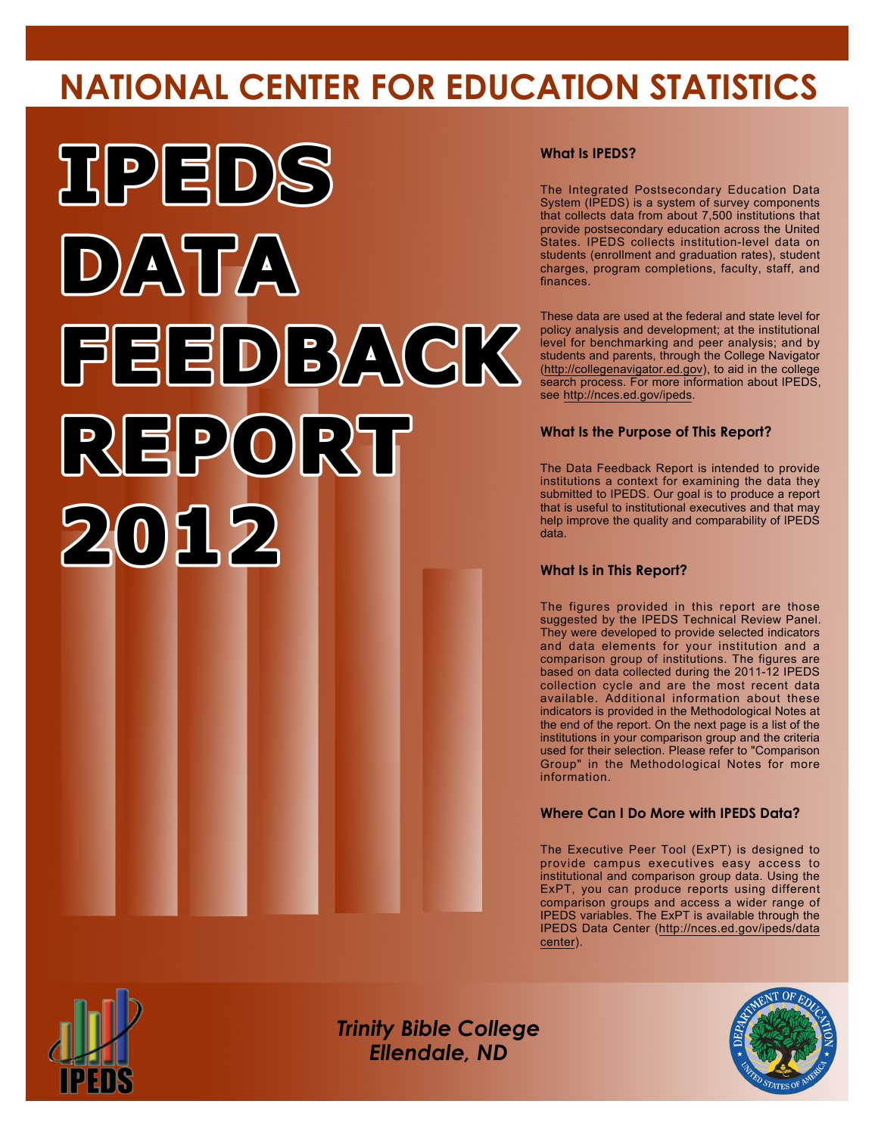# **NATIONAL CENTER FOR EDUCATION STATISTICS**



## **What Is IPEDS?**

The Integrated Postsecondary Education Data System (IPEDS) is a system of survey components that collects data from about 7,500 institutions that provide postsecondary education across the United States. IPEDS collects institution-level data on students (enrollment and graduation rates), student charges, program completions, faculty, staff, and finances.

These data are used at the federal and state level for policy analysis and development; at the institutional level for benchmarking and peer analysis; and by students and parents, through the College Navigator (<http://collegenavigator.ed.gov>), to aid in the college search process. For more information about IPEDS, see [http://nces.ed.gov/ipeds.](http://nces.ed.gov/ipeds)

## **What Is the Purpose of This Report?**

The Data Feedback Report is intended to provide institutions a context for examining the data they submitted to IPEDS. Our goal is to produce a report that is useful to institutional executives and that may help improve the quality and comparability of IPEDS data.

#### **What Is in This Report?**

The figures provided in this report are those suggested by the IPEDS Technical Review Panel. They were developed to provide selected indicators and data elements for your institution and a comparison group of institutions. The figures are based on data collected during the 2011-12 IPEDS collection cycle and are the most recent data available. Additional information about these indicators is provided in the Methodological Notes at the end of the report. On the next page is a list of the institutions in your comparison group and the criteria used for their selection. Please refer to "Comparison Group" in the Methodological Notes for more information.

### **Where Can I Do More with IPEDS Data?**

The Executive Peer Tool (ExPT) is designed to provide campus executives easy access to institutional and comparison group data. Using the ExPT, you can produce reports using different comparison groups and access a wider range of IPEDS variables. The ExPT is available through the IPEDS Data Center ([http://nces.ed.gov/ipeds/data](http://nces.ed.gov/ipeds/datacenter) [center](http://nces.ed.gov/ipeds/datacenter)).



Image description. Cover Image End of image description.

*Trinity Bible College Ellendale, ND*

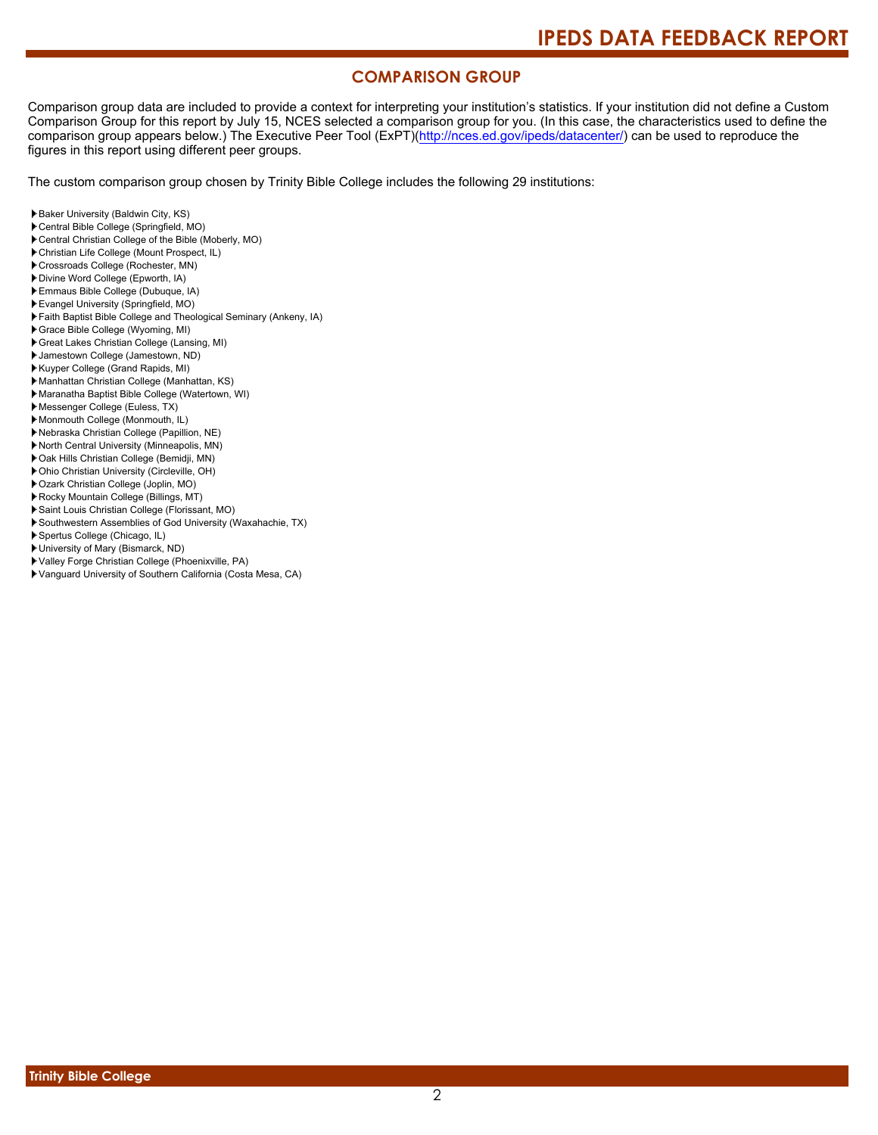## **COMPARISON GROUP**

Comparison group data are included to provide a context for interpreting your institution's statistics. If your institution did not define a Custom Comparison Group for this report by July 15, NCES selected a comparison group for you. (In this case, the characteristics used to define the comparison group appears below.) The Executive Peer Tool (ExPT)[\(http://nces.ed.gov/ipeds/datacenter/\)](http://nces.ed.gov/ipeds/datacenter/) can be used to reproduce the figures in this report using different peer groups.

The custom comparison group chosen by Trinity Bible College includes the following 29 institutions:

- Baker University (Baldwin City, KS)
- Central Bible College (Springfield, MO)
- Central Christian College of the Bible (Moberly, MO)
- Christian Life College (Mount Prospect, IL)
- Crossroads College (Rochester, MN)
- Divine Word College (Epworth, IA)
- Emmaus Bible College (Dubuque, IA)
- Evangel University (Springfield, MO)
- Faith Baptist Bible College and Theological Seminary (Ankeny, IA)
- Grace Bible College (Wyoming, MI)
- Great Lakes Christian College (Lansing, MI)
- Jamestown College (Jamestown, ND)
- Kuyper College (Grand Rapids, MI)
- Manhattan Christian College (Manhattan, KS)
- Maranatha Baptist Bible College (Watertown, WI)
- Messenger College (Euless, TX)
- Monmouth College (Monmouth, IL)
- Nebraska Christian College (Papillion, NE)
- North Central University (Minneapolis, MN)
- Oak Hills Christian College (Bemidji, MN)
- Ohio Christian University (Circleville, OH)
- Ozark Christian College (Joplin, MO)
- Rocky Mountain College (Billings, MT)
- Saint Louis Christian College (Florissant, MO)
- Southwestern Assemblies of God University (Waxahachie, TX)
- Spertus College (Chicago, IL)
- University of Mary (Bismarck, ND)
- Valley Forge Christian College (Phoenixville, PA)
- Vanguard University of Southern California (Costa Mesa, CA)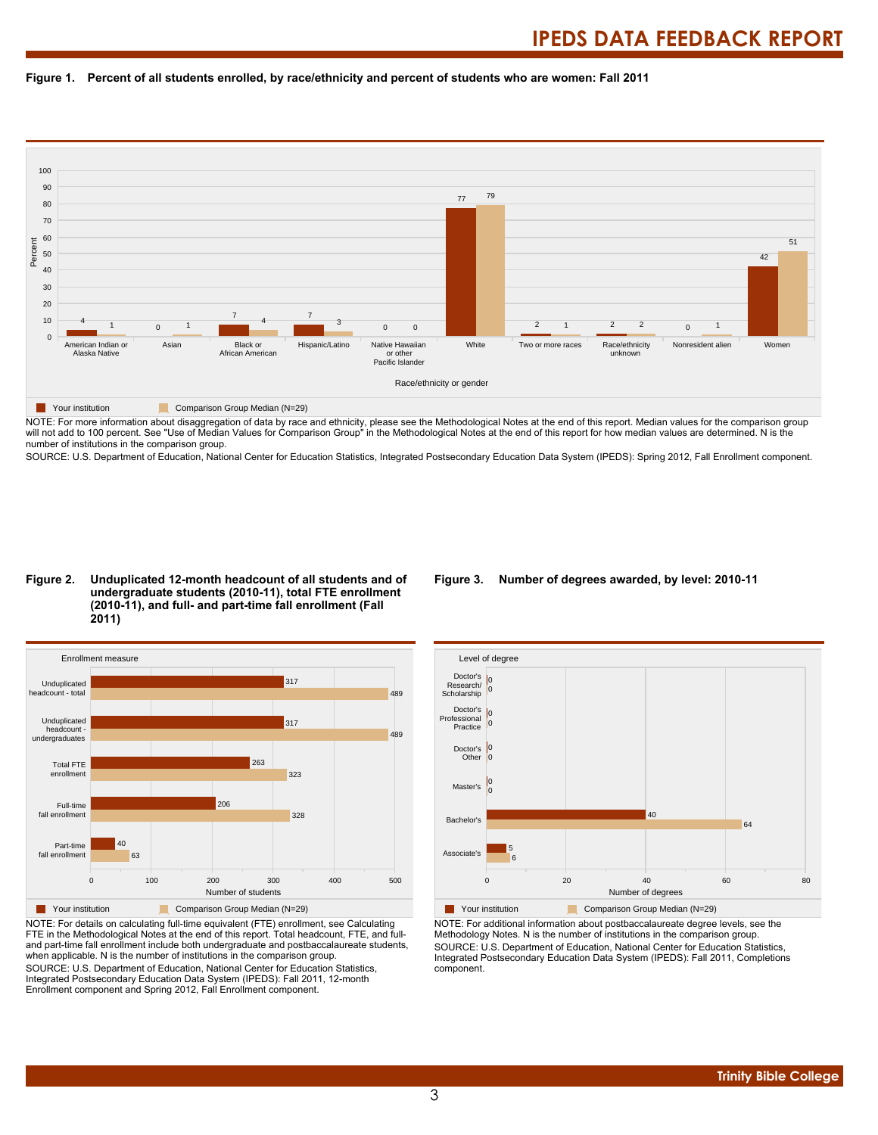



NOTE: For more information about disaggregation of data by race and ethnicity, please see the Methodological Notes at the end of this report. Median values for the comparison group will not add to 100 percent. See "Use of Median Values for Comparison Group" in the Methodological Notes at the end of this report for how median values are determined. N is the number of institutions in the comparison group.

SOURCE: U.S. Department of Education, National Center for Education Statistics, Integrated Postsecondary Education Data System (IPEDS): Spring 2012, Fall Enrollment component.

#### **Figure 2. Unduplicated 12-month headcount of all students and of undergraduate students (2010-11), total FTE enrollment (2010-11), and full- and part-time fall enrollment (Fall 2011)**



NOTE: For details on calculating full-time equivalent (FTE) enrollment, see Calculating FTE in the Methodological Notes at the end of this report. Total headcount, FTE, and fulland part-time fall enrollment include both undergraduate and postbaccalaureate students, when applicable. N is the number of institutions in the comparison group. SOURCE: U.S. Department of Education, National Center for Education Statistics, Integrated Postsecondary Education Data System (IPEDS): Fall 2011, 12-month Enrollment component and Spring 2012, Fall Enrollment component.

#### **Figure 3. Number of degrees awarded, by level: 2010-11**



NOTE: For additional information about postbaccalaureate degree levels, see the Methodology Notes. N is the number of institutions in the comparison group. SOURCE: U.S. Department of Education, National Center for Education Statistics, Integrated Postsecondary Education Data System (IPEDS): Fall 2011, Completions component.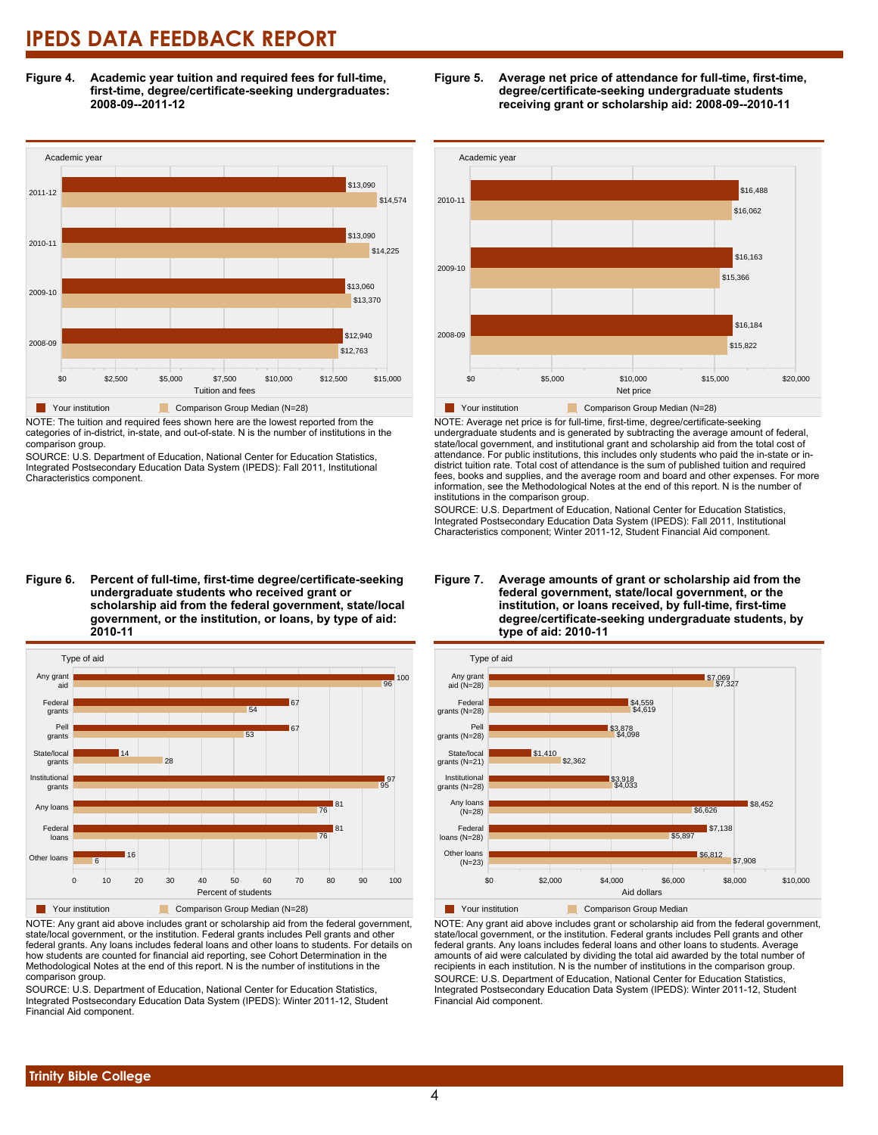**Figure 4. Academic year tuition and required fees for full-time, first-time, degree/certificate-seeking undergraduates: 2008-09--2011-12**



NOTE: The tuition and required fees shown here are the lowest reported from the categories of in-district, in-state, and out-of-state. N is the number of institutions in the comparison group.

SOURCE: U.S. Department of Education, National Center for Education Statistics, Integrated Postsecondary Education Data System (IPEDS): Fall 2011, Institutional Characteristics component.

# \$15,366 \$16,163 \$16,062 \$16,488

\$15,822 \$16,184

**Figure 5. Average net price of attendance for full-time, first-time, degree/certificate-seeking undergraduate students receiving grant or scholarship aid: 2008-09--2010-11**



Your institution **Comparison Group Median (N=28)** NOTE: Average net price is for full-time, first-time, degree/certificate-seeking undergraduate students and is generated by subtracting the average amount of federal, state/local government, and institutional grant and scholarship aid from the total cost of attendance. For public institutions, this includes only students who paid the in-state or in-

\$0 \$5,000 \$10,000 \$15,000 \$20,000 Net price

Academic year

2008-09

2009-10

2010-11

**undergraduate students who received grant or scholarship aid from the federal government, state/local government, or the institution, or loans, by type of aid:**



NOTE: Any grant aid above includes grant or scholarship aid from the federal government, state/local government, or the institution. Federal grants includes Pell grants and other federal grants. Any loans includes federal loans and other loans to students. For details on how students are counted for financial aid reporting, see Cohort Determination in the Methodological Notes at the end of this report. N is the number of institutions in the comparison group.

SOURCE: U.S. Department of Education, National Center for Education Statistics, Integrated Postsecondary Education Data System (IPEDS): Winter 2011-12, Student Financial Aid component.

#### **Figure 7. Average amounts of grant or scholarship aid from the federal government, state/local government, or the institution, or loans received, by full-time, first-time degree/certificate-seeking undergraduate students, by type of aid: 2010-11**



NOTE: Any grant aid above includes grant or scholarship aid from the federal government, state/local government, or the institution. Federal grants includes Pell grants and other federal grants. Any loans includes federal loans and other loans to students. Average amounts of aid were calculated by dividing the total aid awarded by the total number of recipients in each institution. N is the number of institutions in the comparison group. SOURCE: U.S. Department of Education, National Center for Education Statistics, Integrated Postsecondary Education Data System (IPEDS): Winter 2011-12, Student Financial Aid component.

# **Figure 6. Percent of full-time, first-time degree/certificate-seeking 2010-11**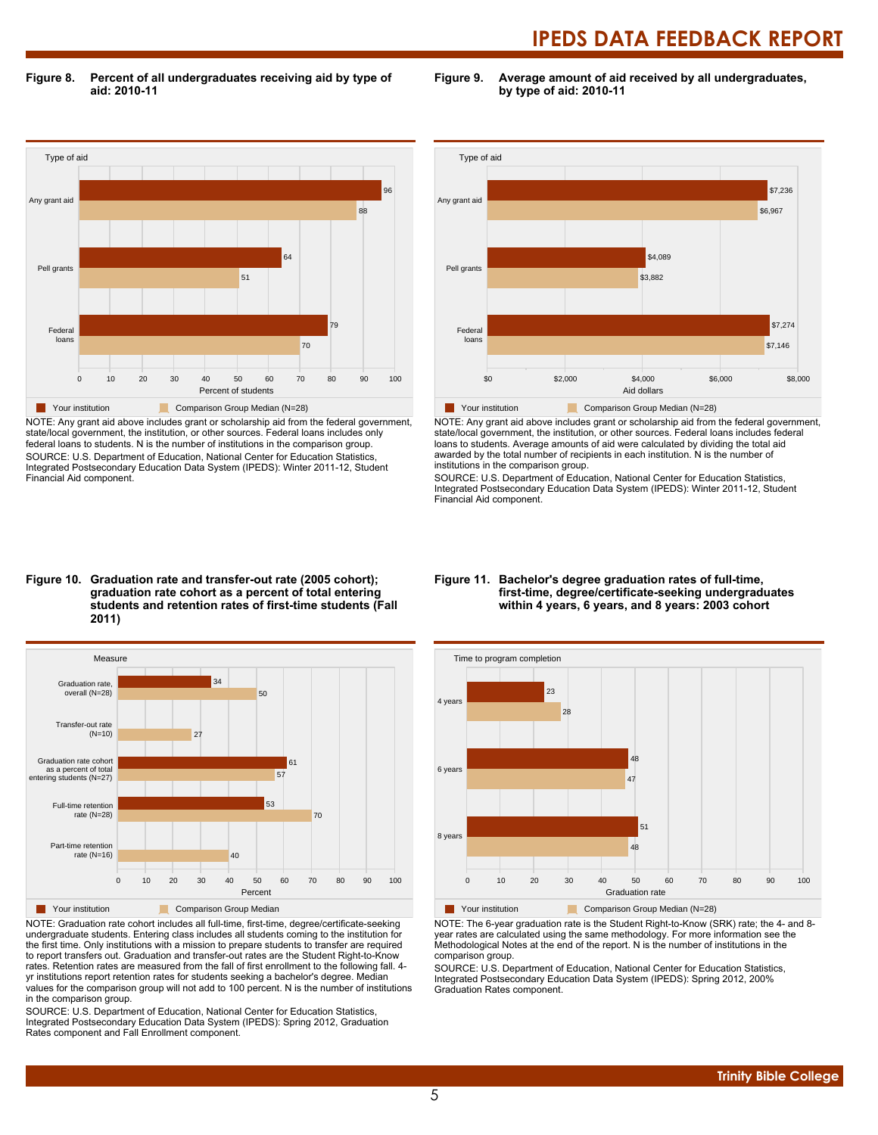**Figure 8. Percent of all undergraduates receiving aid by type of aid: 2010-11**

**Figure 9. Average amount of aid received by all undergraduates, by type of aid: 2010-11**



NOTE: Any grant aid above includes grant or scholarship aid from the federal government, state/local government, the institution, or other sources. Federal loans includes only federal loans to students. N is the number of institutions in the comparison group. SOURCE: U.S. Department of Education, National Center for Education Statistics, Integrated Postsecondary Education Data System (IPEDS): Winter 2011-12, Student Financial Aid component.



NOTE: Any grant aid above includes grant or scholarship aid from the federal government, state/local government, the institution, or other sources. Federal loans includes federal loans to students. Average amounts of aid were calculated by dividing the total aid awarded by the total number of recipients in each institution. N is the number of institutions in the comparison group.

SOURCE: U.S. Department of Education, National Center for Education Statistics, Integrated Postsecondary Education Data System (IPEDS): Winter 2011-12, Student Financial Aid component.

#### **Figure 10. Graduation rate and transfer-out rate (2005 cohort); graduation rate cohort as a percent of total entering students and retention rates of first-time students (Fall 2011)**



NOTE: Graduation rate cohort includes all full-time, first-time, degree/certificate-seeking undergraduate students. Entering class includes all students coming to the institution for the first time. Only institutions with a mission to prepare students to transfer are required to report transfers out. Graduation and transfer-out rates are the Student Right-to-Know rates. Retention rates are measured from the fall of first enrollment to the following fall. 4 yr institutions report retention rates for students seeking a bachelor's degree. Median values for the comparison group will not add to 100 percent. N is the number of institutions in the comparison group.

SOURCE: U.S. Department of Education, National Center for Education Statistics, Integrated Postsecondary Education Data System (IPEDS): Spring 2012, Graduation Rates component and Fall Enrollment component.

#### **Figure 11. Bachelor's degree graduation rates of full-time, first-time, degree/certificate-seeking undergraduates within 4 years, 6 years, and 8 years: 2003 cohort**



NOTE: The 6-year graduation rate is the Student Right-to-Know (SRK) rate; the 4- and 8 year rates are calculated using the same methodology. For more information see the Methodological Notes at the end of the report. N is the number of institutions in the comparison group.

SOURCE: U.S. Department of Education, National Center for Education Statistics, Integrated Postsecondary Education Data System (IPEDS): Spring 2012, 200% Graduation Rates component.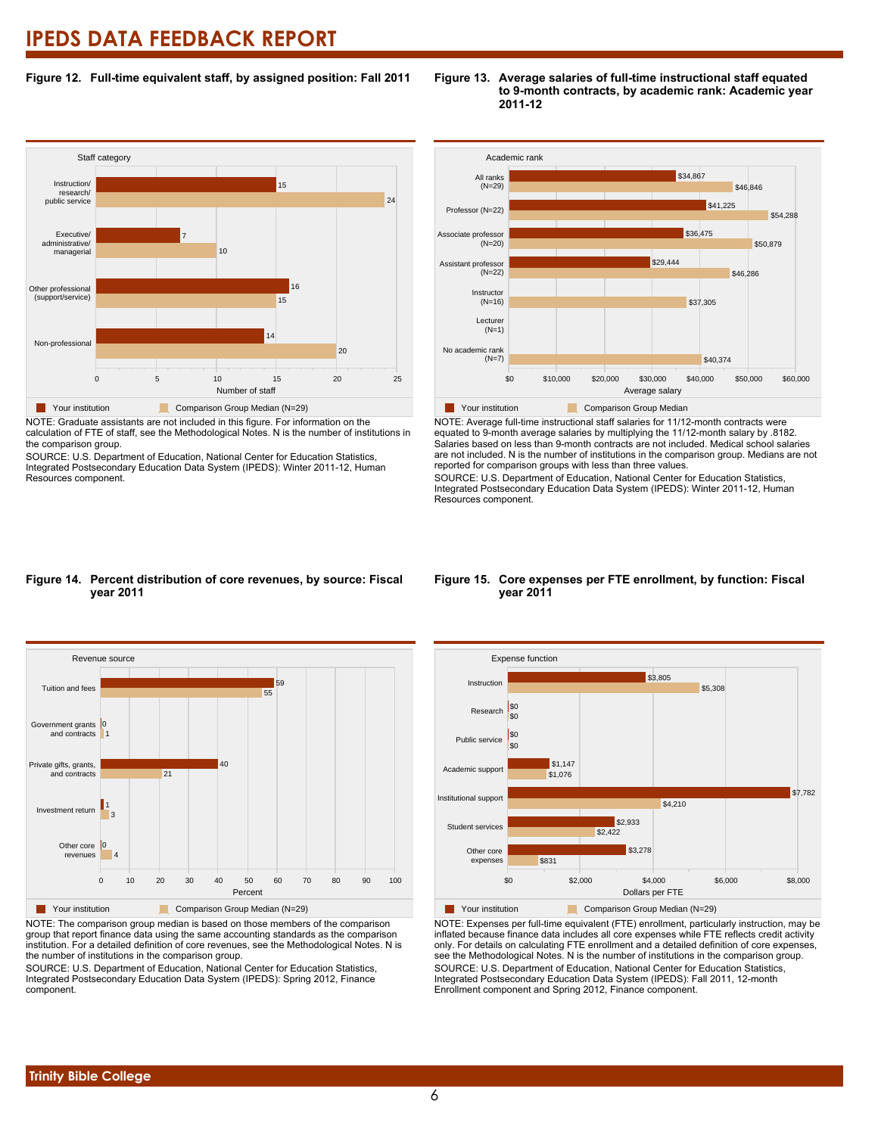### **Figure 12. Full-time equivalent staff, by assigned position: Fall 2011**

#### **Staff category** 0 5 10 15 20 25 Number of staff Non-professional Other professional (support/service) Executive/ administrative/ managerial Instruction/ research/ public service 20 14 15 16 10 7 24 15 **Your institution** Comparison Group Median (N=29)

NOTE: Graduate assistants are not included in this figure. For information on the calculation of FTE of staff, see the Methodological Notes. N is the number of institutions in the comparison group.

SOURCE: U.S. Department of Education, National Center for Education Statistics, Integrated Postsecondary Education Data System (IPEDS): Winter 2011-12, Human Resources component.



NOTE: Average full-time instructional staff salaries for 11/12-month contracts were equated to 9-month average salaries by multiplying the 11/12-month salary by .8182. Salaries based on less than 9-month contracts are not included. Medical school salaries are not included. N is the number of institutions in the comparison group. Medians are not reported for comparison groups with less than three values.

\$40,374

\$46,286

\$46,846

\$50,879

\$54,288

\$37,305

\$36,475

\$41,225

SOURCE: U.S. Department of Education, National Center for Education Statistics, Integrated Postsecondary Education Data System (IPEDS): Winter 2011-12, Human Resources component.

#### **Figure 14. Percent distribution of core revenues, by source: Fiscal year 2011**



NOTE: The comparison group median is based on those members of the comparison group that report finance data using the same accounting standards as the comparison institution. For a detailed definition of core revenues, see the Methodological Notes. N is the number of institutions in the comparison group.

SOURCE: U.S. Department of Education, National Center for Education Statistics, Integrated Postsecondary Education Data System (IPEDS): Spring 2012, Finance component.

#### **Figure 15. Core expenses per FTE enrollment, by function: Fiscal year 2011**



NOTE: Expenses per full-time equivalent (FTE) enrollment, particularly instruction, may be inflated because finance data includes all core expenses while FTE reflects credit activity only. For details on calculating FTE enrollment and a detailed definition of core expenses, see the Methodological Notes. N is the number of institutions in the comparison group. SOURCE: U.S. Department of Education, National Center for Education Statistics, Integrated Postsecondary Education Data System (IPEDS): Fall 2011, 12-month Enrollment component and Spring 2012, Finance component.

## **Trinity Bible College**

#### **Figure 13. Average salaries of full-time instructional staff equated to 9-month contracts, by academic rank: Academic year 2011-12**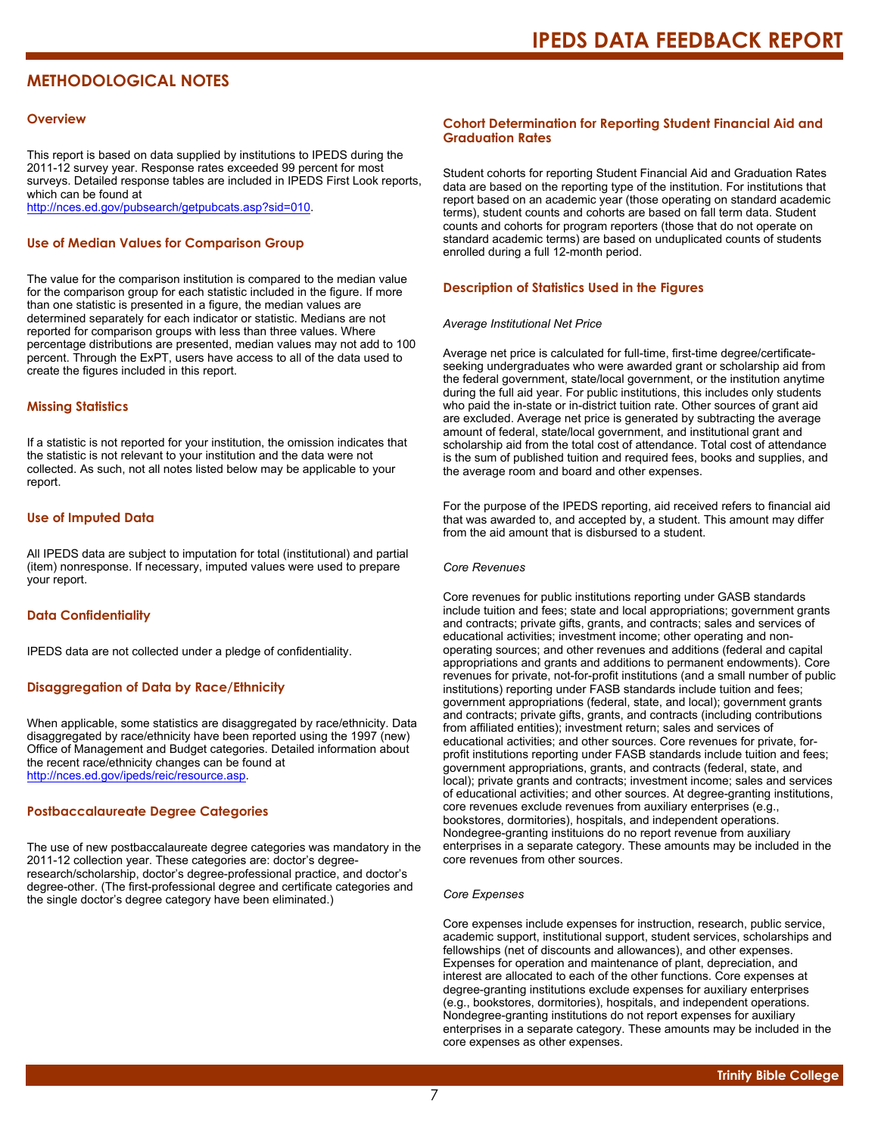## **METHODOLOGICAL NOTES**

#### **Overview**

This report is based on data supplied by institutions to IPEDS during the 2011-12 survey year. Response rates exceeded 99 percent for most surveys. Detailed response tables are included in IPEDS First Look reports, which can be found at [http://nces.ed.gov/pubsearch/getpubcats.asp?sid=010.](http://nces.ed.gov/pubsearch/getpubcats.asp?sid=010)

#### **Use of Median Values for Comparison Group**

The value for the comparison institution is compared to the median value for the comparison group for each statistic included in the figure. If more than one statistic is presented in a figure, the median values are determined separately for each indicator or statistic. Medians are not reported for comparison groups with less than three values. Where percentage distributions are presented, median values may not add to 100 percent. Through the ExPT, users have access to all of the data used to create the figures included in this report.

#### **Missing Statistics**

If a statistic is not reported for your institution, the omission indicates that the statistic is not relevant to your institution and the data were not collected. As such, not all notes listed below may be applicable to your report.

#### **Use of Imputed Data**

All IPEDS data are subject to imputation for total (institutional) and partial (item) nonresponse. If necessary, imputed values were used to prepare your report.

#### **Data Confidentiality**

IPEDS data are not collected under a pledge of confidentiality.

#### **Disaggregation of Data by Race/Ethnicity**

When applicable, some statistics are disaggregated by race/ethnicity. Data disaggregated by race/ethnicity have been reported using the 1997 (new) Office of Management and Budget categories. Detailed information about the recent race/ethnicity changes can be found at <http://nces.ed.gov/ipeds/reic/resource.asp>.

#### **Postbaccalaureate Degree Categories**

The use of new postbaccalaureate degree categories was mandatory in the 2011-12 collection year. These categories are: doctor's degreeresearch/scholarship, doctor's degree-professional practice, and doctor's degree-other. (The first-professional degree and certificate categories and the single doctor's degree category have been eliminated.)

#### **Cohort Determination for Reporting Student Financial Aid and Graduation Rates**

Student cohorts for reporting Student Financial Aid and Graduation Rates data are based on the reporting type of the institution. For institutions that report based on an academic year (those operating on standard academic terms), student counts and cohorts are based on fall term data. Student counts and cohorts for program reporters (those that do not operate on standard academic terms) are based on unduplicated counts of students enrolled during a full 12-month period.

#### **Description of Statistics Used in the Figures**

#### *Average Institutional Net Price*

Average net price is calculated for full-time, first-time degree/certificateseeking undergraduates who were awarded grant or scholarship aid from the federal government, state/local government, or the institution anytime during the full aid year. For public institutions, this includes only students who paid the in-state or in-district tuition rate. Other sources of grant aid are excluded. Average net price is generated by subtracting the average amount of federal, state/local government, and institutional grant and scholarship aid from the total cost of attendance. Total cost of attendance is the sum of published tuition and required fees, books and supplies, and the average room and board and other expenses.

For the purpose of the IPEDS reporting, aid received refers to financial aid that was awarded to, and accepted by, a student. This amount may differ from the aid amount that is disbursed to a student.

#### *Core Revenues*

Core revenues for public institutions reporting under GASB standards include tuition and fees; state and local appropriations; government grants and contracts; private gifts, grants, and contracts; sales and services of educational activities; investment income; other operating and nonoperating sources; and other revenues and additions (federal and capital appropriations and grants and additions to permanent endowments). Core revenues for private, not-for-profit institutions (and a small number of public institutions) reporting under FASB standards include tuition and fees; government appropriations (federal, state, and local); government grants and contracts; private gifts, grants, and contracts (including contributions from affiliated entities); investment return; sales and services of educational activities; and other sources. Core revenues for private, forprofit institutions reporting under FASB standards include tuition and fees; government appropriations, grants, and contracts (federal, state, and local); private grants and contracts; investment income; sales and services of educational activities; and other sources. At degree-granting institutions, core revenues exclude revenues from auxiliary enterprises (e.g., bookstores, dormitories), hospitals, and independent operations. Nondegree-granting instituions do no report revenue from auxiliary enterprises in a separate category. These amounts may be included in the core revenues from other sources.

#### *Core Expenses*

Core expenses include expenses for instruction, research, public service, academic support, institutional support, student services, scholarships and fellowships (net of discounts and allowances), and other expenses. Expenses for operation and maintenance of plant, depreciation, and interest are allocated to each of the other functions. Core expenses at degree-granting institutions exclude expenses for auxiliary enterprises (e.g., bookstores, dormitories), hospitals, and independent operations. Nondegree-granting institutions do not report expenses for auxiliary enterprises in a separate category. These amounts may be included in the core expenses as other expenses.